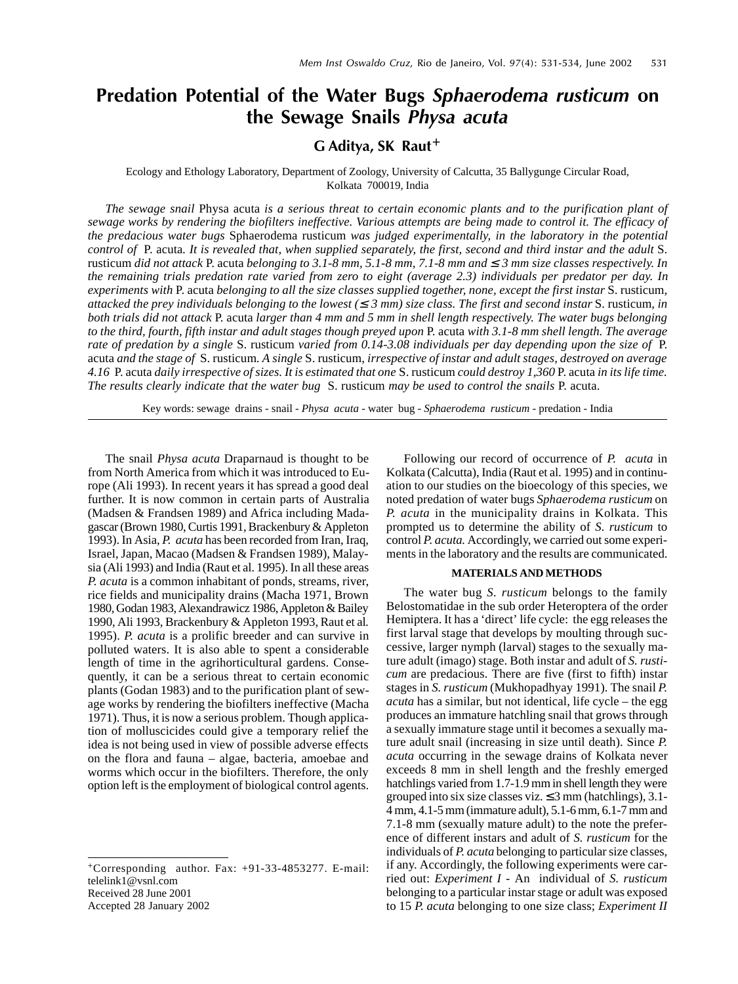# Predation Potential of the Water Bugs Sphaerodema rusticum on the Sewage Snails Physa acuta

## G Aditya, SK Raut<sup>+</sup>

#### Ecology and Ethology Laboratory, Department of Zoology, University of Calcutta, 35 Ballygunge Circular Road, Kolkata 700019, India

*The sewage snail* Physa acuta *is a serious threat to certain economic plants and to the purification plant of sewage works by rendering the biofilters ineffective. Various attempts are being made to control it. The efficacy of the predacious water bugs* Sphaerodema rusticum *was judged experimentally, in the laboratory in the potential control of* P. acuta*. It is revealed that, when supplied separately, the first, second and third instar and the adult* S. rusticum *did not attack* P. acuta *belonging to 3.1-8 mm, 5.1-8 mm, 7.1-8 mm and* ≤ *3 mm size classes respectively. In the remaining trials predation rate varied from zero to eight (average 2.3) individuals per predator per day. In experiments with* P. acuta *belonging to all the size classes supplied together, none, except the first instar S. rusticum, attacked the prey individuals belonging to the lowest (* $\leq$  *3 mm) size class. The first and second instar S. rusticum, in both trials did not attack* P. acuta *larger than 4 mm and 5 mm in shell length respectively. The water bugs belonging to the third, fourth, fifth instar and adult stages though preyed upon P. acuta with 3.1-8 mm shell length. The average rate of predation by a single* S. rusticum *varied from 0.14-3.08 individuals per day depending upon the size of* P. acuta *and the stage of* S. rusticum*. A single* S. rusticum, *irrespective of instar and adult stages, destroyed on average 4.16* P. acuta *daily irrespective of sizes. It is estimated that one* S. rusticum *could destroy 1,360* P. acuta *in its life time. The results clearly indicate that the water bug* S. rusticum *may be used to control the snails* P. acuta.

Key words: sewage drains - snail - *Physa acuta* - water bug - *Sphaerodema rusticum* - predation - India

The snail *Physa acuta* Draparnaud is thought to be from North America from which it was introduced to Europe (Ali 1993). In recent years it has spread a good deal further. It is now common in certain parts of Australia (Madsen & Frandsen 1989) and Africa including Madagascar (Brown 1980, Curtis 1991, Brackenbury & Appleton 1993). In Asia, *P. acuta* has been recorded from Iran, Iraq, Israel, Japan, Macao (Madsen & Frandsen 1989), Malaysia (Ali 1993) and India (Raut et al. 1995). In all these areas *P. acuta* is a common inhabitant of ponds, streams, river, rice fields and municipality drains (Macha 1971, Brown 1980, Godan 1983, Alexandrawicz 1986, Appleton & Bailey 1990, Ali 1993, Brackenbury & Appleton 1993, Raut et al*.* 1995). *P. acuta* is a prolific breeder and can survive in polluted waters. It is also able to spent a considerable length of time in the agrihorticultural gardens. Consequently, it can be a serious threat to certain economic plants (Godan 1983) and to the purification plant of sewage works by rendering the biofilters ineffective (Macha 1971). Thus, it is now a serious problem. Though application of molluscicides could give a temporary relief the idea is not being used in view of possible adverse effects on the flora and fauna – algae, bacteria, amoebae and worms which occur in the biofilters. Therefore, the only option left is the employment of biological control agents.

Accepted 28 January 2002

Following our record of occurrence of *P. acuta* in Kolkata (Calcutta), India (Raut et al*.* 1995) and in continuation to our studies on the bioecology of this species, we noted predation of water bugs *Sphaerodema rusticum* on *P. acuta* in the municipality drains in Kolkata. This prompted us to determine the ability of *S. rusticum* to control *P. acuta.* Accordingly, we carried out some experiments in the laboratory and the results are communicated.

### **MATERIALS AND METHODS**

The water bug *S. rusticum* belongs to the family Belostomatidae in the sub order Heteroptera of the order Hemiptera. It has a 'direct' life cycle: the egg releases the first larval stage that develops by moulting through successive, larger nymph (larval) stages to the sexually mature adult (imago) stage. Both instar and adult of *S. rusticum* are predacious. There are five (first to fifth) instar stages in *S. rusticum* (Mukhopadhyay 1991). The snail *P. acuta* has a similar, but not identical, life cycle – the egg produces an immature hatchling snail that grows through a sexually immature stage until it becomes a sexually mature adult snail (increasing in size until death). Since *P. acuta* occurring in the sewage drains of Kolkata never exceeds 8 mm in shell length and the freshly emerged hatchlings varied from 1.7-1.9 mm in shell length they were grouped into six size classes viz.  $\leq$  3 mm (hatchlings), 3.1-4 mm, 4.1-5 mm (immature adult), 5.1-6 mm, 6.1-7 mm and 7.1-8 mm (sexually mature adult) to the note the preference of different instars and adult of *S. rusticum* for the individuals of *P. acuta* belonging to particular size classes, if any. Accordingly, the following experiments were carried out: *Experiment I* - An individual of *S. rusticum* belonging to a particular instar stage or adult was exposed to 15 *P. acuta* belonging to one size class; *Experiment II*

<sup>+</sup>Corresponding author. Fax: +91-33-4853277. E-mail: telelink1@vsnl.com Received 28 June 2001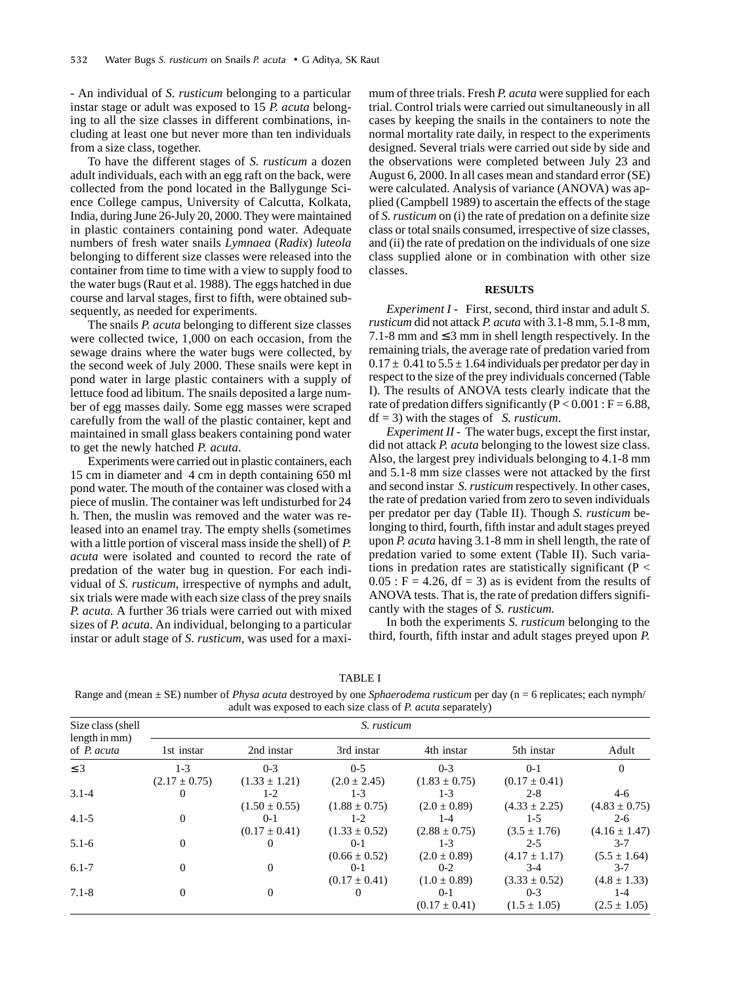*-* An individual of *S. rusticum* belonging to a particular instar stage or adult was exposed to 15 *P. acuta* belonging to all the size classes in different combinations, including at least one but never more than ten individuals from a size class, together.

To have the different stages of *S. rusticum* a dozen adult individuals, each with an egg raft on the back, were collected from the pond located in the Ballygunge Science College campus, University of Calcutta, Kolkata, India, during June 26-July 20, 2000. They were maintained in plastic containers containing pond water. Adequate numbers of fresh water snails *Lymnaea* (*Radix*) *luteola* belonging to different size classes were released into the container from time to time with a view to supply food to the water bugs (Raut et al. 1988). The eggs hatched in due course and larval stages, first to fifth, were obtained subsequently, as needed for experiments.

The snails *P. acuta* belonging to different size classes were collected twice, 1,000 on each occasion, from the sewage drains where the water bugs were collected, by the second week of July 2000. These snails were kept in pond water in large plastic containers with a supply of lettuce food ad libitum. The snails deposited a large number of egg masses daily. Some egg masses were scraped carefully from the wall of the plastic container, kept and maintained in small glass beakers containing pond water to get the newly hatched *P. acuta*.

Experiments were carried out in plastic containers, each 15 cm in diameter and 4 cm in depth containing 650 ml pond water. The mouth of the container was closed with a piece of muslin. The container was left undisturbed for 24 h. Then, the muslin was removed and the water was released into an enamel tray. The empty shells (sometimes with a little portion of visceral mass inside the shell) of *P. acuta* were isolated and counted to record the rate of predation of the water bug in question. For each individual of *S. rusticum*, irrespective of nymphs and adult, six trials were made with each size class of the prey snails *P. acuta.* A further 36 trials were carried out with mixed sizes of *P. acuta*. An individual, belonging to a particular instar or adult stage of *S. rusticum,* was used for a maximum of three trials. Fresh *P. acuta* were supplied for each trial. Control trials were carried out simultaneously in all cases by keeping the snails in the containers to note the normal mortality rate daily, in respect to the experiments designed. Several trials were carried out side by side and the observations were completed between July 23 and August 6, 2000. In all cases mean and standard error (SE) were calculated. Analysis of variance (ANOVA) was applied (Campbell 1989) to ascertain the effects of the stage of *S. rusticum* on (i) the rate of predation on a definite size class or total snails consumed, irrespective of size classes, and (ii) the rate of predation on the individuals of one size class supplied alone or in combination with other size classes.

#### **RESULTS**

*Experiment I -* First, second, third instar and adult *S. rusticum* did not attack *P. acuta* with 3.1-8 mm, 5.1-8 mm, 7.1-8 mm and  $\leq$  3 mm in shell length respectively. In the remaining trials, the average rate of predation varied from  $0.17 \pm 0.41$  to  $5.5 \pm 1.64$  individuals per predator per day in respect to the size of the prey individuals concerned (Table I). The results of ANOVA tests clearly indicate that the rate of predation differs significantly ( $P < 0.001$ :  $F = 6.88$ , df = 3) with the stages of *S. rusticum*.

*Experiment II -* The water bugs, except the first instar, did not attack *P. acuta* belonging to the lowest size class. Also, the largest prey individuals belonging to 4.1-8 mm and 5.1-8 mm size classes were not attacked by the first and second instar *S. rusticum* respectively. In other cases, the rate of predation varied from zero to seven individuals per predator per day (Table II). Though *S. rusticum* belonging to third, fourth, fifth instar and adult stages preyed upon *P. acuta* having 3.1-8 mm in shell length, the rate of predation varied to some extent (Table II). Such variations in predation rates are statistically significant ( $P <$  $0.05$ : F = 4.26, df = 3) as is evident from the results of ANOVA tests. That is, the rate of predation differs significantly with the stages of *S. rusticum.*

In both the experiments *S. rusticum* belonging to the third, fourth, fifth instar and adult stages preyed upon *P.*

| . . |  |
|-----|--|
|-----|--|

Range and (mean ± SE) number of *Physa acuta* destroyed by one *Sphaerodema rusticum* per day (n = 6 replicates; each nymph/ adult was exposed to each size class of *P. acuta* separately)

| Size class (shell<br>length in mm)<br>of <i>P. acuta</i> | S. rusticum                |                              |                              |                              |                              |                              |  |  |
|----------------------------------------------------------|----------------------------|------------------------------|------------------------------|------------------------------|------------------------------|------------------------------|--|--|
|                                                          | 1st instar                 | 2nd instar                   | 3rd instar                   | 4th instar                   | 5th instar                   | Adult                        |  |  |
| $\leq$ 3                                                 | $1-3$<br>$(2.17 \pm 0.75)$ | $0 - 3$<br>$(1.33 \pm 1.21)$ | $0 - 5$<br>$(2.0 \pm 2.45)$  | $0 - 3$<br>$(1.83 \pm 0.75)$ | $0-1$<br>$(0.17 \pm 0.41)$   |                              |  |  |
| $3.1 - 4$                                                | 0                          | $1-2$<br>$(1.50 \pm 0.55)$   | $1 - 3$<br>$(1.88 \pm 0.75)$ | $1 - 3$<br>$(2.0 \pm 0.89)$  | $2 - 8$<br>$(4.33 \pm 2.25)$ | $4-6$<br>$(4.83 \pm 0.75)$   |  |  |
| $4.1 - 5$                                                | $\Omega$                   | $0 - 1$<br>$(0.17 \pm 0.41)$ | $1-2$<br>$(1.33 \pm 0.52)$   | $1 - 4$<br>$(2.88 \pm 0.75)$ | $1-5$<br>$(3.5 \pm 1.76)$    | $2 - 6$<br>$(4.16 \pm 1.47)$ |  |  |
| $5.1 - 6$                                                | $\overline{0}$             | $\theta$                     | $0-1$<br>$(0.66 \pm 0.52)$   | $1-3$<br>$(2.0 \pm 0.89)$    | $2 - 5$<br>$(4.17 \pm 1.17)$ | $3 - 7$<br>$(5.5 \pm 1.64)$  |  |  |
| $6.1 - 7$                                                | 0                          | $\Omega$                     | $0-1$<br>$(0.17 \pm 0.41)$   | $0-2$<br>$(1.0 \pm 0.89)$    | $3-4$<br>$(3.33 \pm 0.52)$   | $3 - 7$<br>$(4.8 \pm 1.33)$  |  |  |
| $7.1 - 8$                                                | $\Omega$                   | $\Omega$                     | 0                            | $0-1$<br>$(0.17 \pm 0.41)$   | $0 - 3$<br>$(1.5 \pm 1.05)$  | $1 - 4$<br>$(2.5 \pm 1.05)$  |  |  |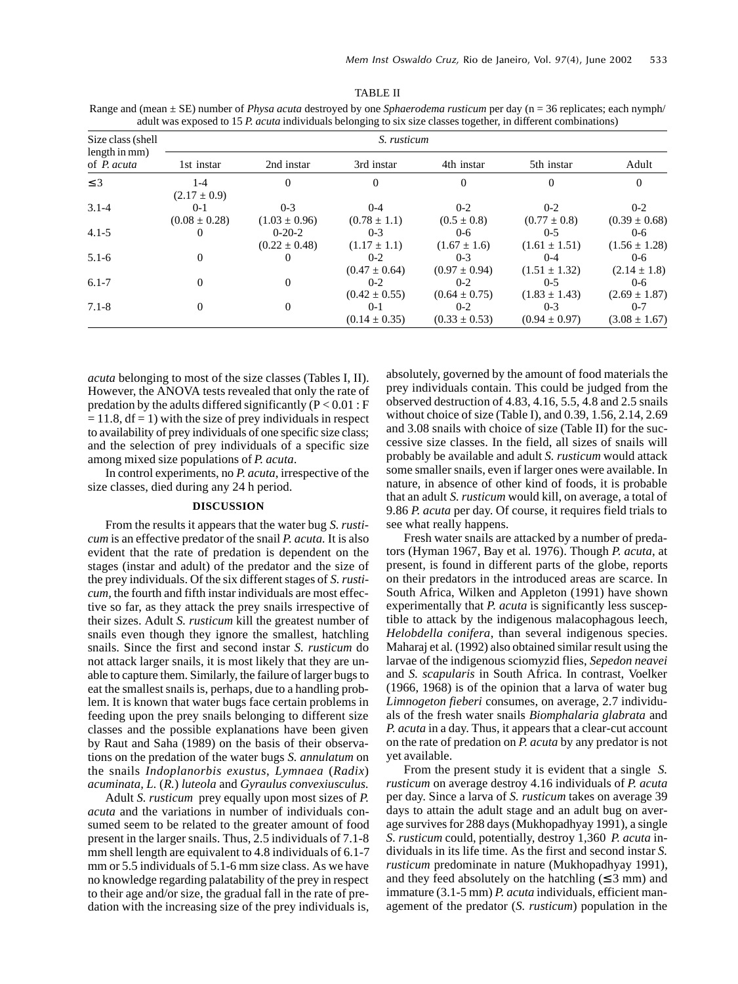| Size class (shell<br>length in mm)<br>of P. acuta | S. rusticum                  |                               |                              |                              |                              |                              |  |  |  |
|---------------------------------------------------|------------------------------|-------------------------------|------------------------------|------------------------------|------------------------------|------------------------------|--|--|--|
|                                                   | 1st instar                   | 2nd instar                    | 3rd instar                   | 4th instar                   | 5th instar                   | Adult                        |  |  |  |
| $\leq$ 3                                          | $1-4$<br>$(2.17 \pm 0.9)$    | $\Omega$                      | 0                            | $\overline{0}$               | $\theta$                     | $\Omega$                     |  |  |  |
| $3.1 - 4$                                         | $0 - 1$<br>$(0.08 \pm 0.28)$ | $0 - 3$<br>$(1.03 \pm 0.96)$  | $0 - 4$<br>$(0.78 \pm 1.1)$  | $0 - 2$<br>$(0.5 \pm 0.8)$   | $0 - 2$<br>$(0.77 \pm 0.8)$  | $0 - 2$<br>$(0.39 \pm 0.68)$ |  |  |  |
| $4.1 - 5$                                         | 0                            | $0-20-2$<br>$(0.22 \pm 0.48)$ | $0 - 3$<br>$(1.17 \pm 1.1)$  | $0 - 6$<br>$(1.67 \pm 1.6)$  | $0 - 5$<br>$(1.61 \pm 1.51)$ | $0 - 6$<br>$(1.56 \pm 1.28)$ |  |  |  |
| $5.1 - 6$                                         | $\overline{0}$               |                               | $0-2$<br>$(0.47 \pm 0.64)$   | $0 - 3$<br>$(0.97 \pm 0.94)$ | $0 - 4$<br>$(1.51 \pm 1.32)$ | $0 - 6$<br>$(2.14 \pm 1.8)$  |  |  |  |
| $6.1 - 7$                                         | $\theta$                     | $\Omega$                      | $0 - 2$<br>$(0.42 \pm 0.55)$ | $0 - 2$<br>$(0.64 \pm 0.75)$ | $0 - 5$<br>$(1.83 \pm 1.43)$ | $0 - 6$<br>$(2.69 \pm 1.87)$ |  |  |  |
| $7.1 - 8$                                         | $\boldsymbol{0}$             | 0                             | $0-1$<br>$(0.14 \pm 0.35)$   | $0 - 2$<br>$(0.33 \pm 0.53)$ | $0 - 3$<br>$(0.94 \pm 0.97)$ | $0 - 7$<br>$(3.08 \pm 1.67)$ |  |  |  |

TABLE II

Range and (mean ± SE) number of *Physa acuta* destroyed by one *Sphaerodema rusticum* per day (n = 36 replicates; each nymph/ adult was exposed to 15 *P. acuta* individuals belonging to six size classes together, in different combinations)

*acuta* belonging to most of the size classes (Tables I, II). However, the ANOVA tests revealed that only the rate of predation by the adults differed significantly ( $P < 0.01$ : F  $= 11.8$ , df  $= 1$ ) with the size of prey individuals in respect to availability of prey individuals of one specific size class; and the selection of prey individuals of a specific size among mixed size populations of *P. acuta*.

In control experiments, no *P. acuta*, irrespective of the size classes, died during any 24 h period.

#### **DISCUSSION**

From the results it appears that the water bug *S. rusticum* is an effective predator of the snail *P. acuta.* It is also evident that the rate of predation is dependent on the stages (instar and adult) of the predator and the size of the prey individuals. Of the six different stages of *S. rusticum,* the fourth and fifth instar individuals are most effective so far, as they attack the prey snails irrespective of their sizes. Adult *S. rusticum* kill the greatest number of snails even though they ignore the smallest, hatchling snails. Since the first and second instar *S. rusticum* do not attack larger snails, it is most likely that they are unable to capture them. Similarly, the failure of larger bugs to eat the smallest snails is, perhaps, due to a handling problem. It is known that water bugs face certain problems in feeding upon the prey snails belonging to different size classes and the possible explanations have been given by Raut and Saha (1989) on the basis of their observations on the predation of the water bugs *S. annulatum* on the snails *Indoplanorbis exustus*, *Lymnaea* (*Radix*) *acuminata, L.* (*R.*) *luteola* and *Gyraulus convexiusculus.*

Adult *S. rusticum* prey equally upon most sizes of *P. acuta* and the variations in number of individuals consumed seem to be related to the greater amount of food present in the larger snails. Thus, 2.5 individuals of 7.1-8 mm shell length are equivalent to 4.8 individuals of 6.1-7 mm or 5.5 individuals of 5.1-6 mm size class*.* As we have no knowledge regarding palatability of the prey in respect to their age and/or size, the gradual fall in the rate of predation with the increasing size of the prey individuals is,

absolutely, governed by the amount of food materials the prey individuals contain. This could be judged from the observed destruction of 4.83, 4.16, 5.5, 4.8 and 2.5 snails without choice of size (Table I), and 0.39, 1.56, 2.14, 2.69 and 3.08 snails with choice of size (Table II) for the successive size classes. In the field, all sizes of snails will probably be available and adult *S. rusticum* would attack some smaller snails, even if larger ones were available. In nature, in absence of other kind of foods, it is probable that an adult *S. rusticum* would kill, on average, a total of 9.86 *P. acuta* per day. Of course, it requires field trials to see what really happens.

Fresh water snails are attacked by a number of predators (Hyman 1967, Bay et al*.* 1976). Though *P. acuta*, at present, is found in different parts of the globe, reports on their predators in the introduced areas are scarce. In South Africa, Wilken and Appleton (1991) have shown experimentally that *P. acuta* is significantly less susceptible to attack by the indigenous malacophagous leech, *Helobdella conifera*, than several indigenous species. Maharaj et al*.* (1992) also obtained similar result using the larvae of the indigenous sciomyzid flies, *Sepedon neavei* and *S. scapularis* in South Africa. In contrast, Voelker (1966, 1968) is of the opinion that a larva of water bug *Limnogeton fieberi* consumes, on average, 2.7 individuals of the fresh water snails *Biomphalaria glabrata* and *P. acuta* in a day. Thus, it appears that a clear-cut account on the rate of predation on *P. acuta* by any predator is not yet available.

From the present study it is evident that a single *S. rusticum* on average destroy 4.16 individuals of *P. acuta* per day. Since a larva of *S. rusticum* takes on average 39 days to attain the adult stage and an adult bug on average survives for 288 days (Mukhopadhyay 1991), a single *S. rusticum* could, potentially, destroy 1,360 *P. acuta* individuals in its life time. As the first and second instar *S. rusticum* predominate in nature (Mukhopadhyay 1991), and they feed absolutely on the hatchling  $( \leq 3 \text{ mm})$  and immature (3.1-5 mm) *P. acuta* individuals, efficient management of the predator (*S. rusticum*) population in the